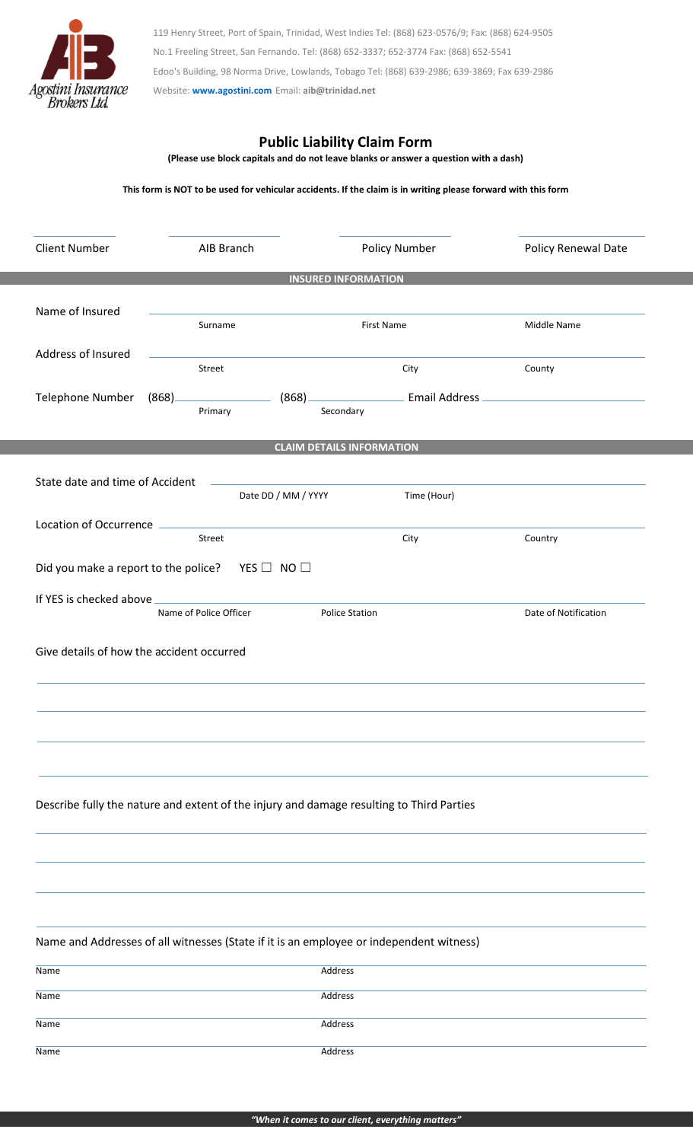

119 Henry Street, Port of Spain, Trinidad, West Indies Tel: (868) 623-0576/9; Fax: (868) 624-9505 No.1 Freeling Street, San Fernando. Tel: (868) 652-3337; 652-3774 Fax: (868) 652-5541 Edoo's Building, 98 Norma Drive, Lowlands, Tobago Tel: (868) 639-2986; 639-3869; Fax 639-2986 Website: **[www.agostini.com](http://www.agostini.com/)** Email: **aib@trinidad.net**

## **Public Liability Claim Form**

**(Please use block capitals and do not leave blanks or answer a question with a dash)**

**This form is NOT to be used for vehicular accidents. If the claim is in writing please forward with this form**

| <b>Client Number</b>                                      | AIB Branch                                                                              |                                                                                                                                                                                                                                     | Policy Number                                                                                                                                                                                                                             | Policy Renewal Date  |  |  |
|-----------------------------------------------------------|-----------------------------------------------------------------------------------------|-------------------------------------------------------------------------------------------------------------------------------------------------------------------------------------------------------------------------------------|-------------------------------------------------------------------------------------------------------------------------------------------------------------------------------------------------------------------------------------------|----------------------|--|--|
| <b>INSURED INFORMATION</b>                                |                                                                                         |                                                                                                                                                                                                                                     |                                                                                                                                                                                                                                           |                      |  |  |
|                                                           |                                                                                         |                                                                                                                                                                                                                                     |                                                                                                                                                                                                                                           |                      |  |  |
| Name of Insured                                           | Surname                                                                                 |                                                                                                                                                                                                                                     | First Name                                                                                                                                                                                                                                | Middle Name          |  |  |
|                                                           |                                                                                         |                                                                                                                                                                                                                                     |                                                                                                                                                                                                                                           |                      |  |  |
| Address of Insured                                        | Street                                                                                  |                                                                                                                                                                                                                                     | City                                                                                                                                                                                                                                      | County               |  |  |
| Telephone Number                                          |                                                                                         |                                                                                                                                                                                                                                     | <b>Example 2016</b> Email Address <b>Constanting Constanting Constanting Constanting Constanting Constanting Constanting Constanting Constanting Constanting Constanting Constanting Constanting Constanting Constanting Constanting </b> |                      |  |  |
|                                                           | (868)<br>Primary                                                                        | (868)                                                                                                                                                                                                                               | Secondary                                                                                                                                                                                                                                 |                      |  |  |
|                                                           |                                                                                         |                                                                                                                                                                                                                                     |                                                                                                                                                                                                                                           |                      |  |  |
|                                                           |                                                                                         |                                                                                                                                                                                                                                     | <b>CLAIM DETAILS INFORMATION</b>                                                                                                                                                                                                          |                      |  |  |
| State date and time of Accident                           |                                                                                         |                                                                                                                                                                                                                                     |                                                                                                                                                                                                                                           |                      |  |  |
|                                                           |                                                                                         | Date DD / MM / YYYY                                                                                                                                                                                                                 | Time (Hour)                                                                                                                                                                                                                               |                      |  |  |
|                                                           |                                                                                         | Location of Occurrence <b>contract and the COVID-100 model</b> contract to the COVID-100 model of the COVID-100 model contract to the COVID-100 model of the COVID-100 model contract to the COVID-100 model of the COVID-100 model |                                                                                                                                                                                                                                           |                      |  |  |
|                                                           | Street                                                                                  |                                                                                                                                                                                                                                     | City                                                                                                                                                                                                                                      | Country              |  |  |
| Did you make a report to the police? YES $\Box$ NO $\Box$ |                                                                                         |                                                                                                                                                                                                                                     |                                                                                                                                                                                                                                           |                      |  |  |
|                                                           |                                                                                         |                                                                                                                                                                                                                                     |                                                                                                                                                                                                                                           |                      |  |  |
|                                                           | Name of Police Officer                                                                  |                                                                                                                                                                                                                                     | <b>Police Station</b>                                                                                                                                                                                                                     | Date of Notification |  |  |
|                                                           |                                                                                         |                                                                                                                                                                                                                                     |                                                                                                                                                                                                                                           |                      |  |  |
| Give details of how the accident occurred                 |                                                                                         |                                                                                                                                                                                                                                     |                                                                                                                                                                                                                                           |                      |  |  |
|                                                           |                                                                                         |                                                                                                                                                                                                                                     |                                                                                                                                                                                                                                           |                      |  |  |
|                                                           |                                                                                         |                                                                                                                                                                                                                                     |                                                                                                                                                                                                                                           |                      |  |  |
|                                                           |                                                                                         |                                                                                                                                                                                                                                     |                                                                                                                                                                                                                                           |                      |  |  |
|                                                           |                                                                                         |                                                                                                                                                                                                                                     |                                                                                                                                                                                                                                           |                      |  |  |
|                                                           |                                                                                         |                                                                                                                                                                                                                                     |                                                                                                                                                                                                                                           |                      |  |  |
|                                                           |                                                                                         |                                                                                                                                                                                                                                     |                                                                                                                                                                                                                                           |                      |  |  |
|                                                           |                                                                                         |                                                                                                                                                                                                                                     | Describe fully the nature and extent of the injury and damage resulting to Third Parties                                                                                                                                                  |                      |  |  |
|                                                           |                                                                                         |                                                                                                                                                                                                                                     |                                                                                                                                                                                                                                           |                      |  |  |
|                                                           |                                                                                         |                                                                                                                                                                                                                                     |                                                                                                                                                                                                                                           |                      |  |  |
|                                                           |                                                                                         |                                                                                                                                                                                                                                     |                                                                                                                                                                                                                                           |                      |  |  |
|                                                           |                                                                                         |                                                                                                                                                                                                                                     |                                                                                                                                                                                                                                           |                      |  |  |
|                                                           |                                                                                         |                                                                                                                                                                                                                                     |                                                                                                                                                                                                                                           |                      |  |  |
|                                                           | Name and Addresses of all witnesses (State if it is an employee or independent witness) |                                                                                                                                                                                                                                     |                                                                                                                                                                                                                                           |                      |  |  |
| Name                                                      |                                                                                         | Address                                                                                                                                                                                                                             |                                                                                                                                                                                                                                           |                      |  |  |
| Name                                                      |                                                                                         | Address                                                                                                                                                                                                                             |                                                                                                                                                                                                                                           |                      |  |  |
|                                                           |                                                                                         |                                                                                                                                                                                                                                     |                                                                                                                                                                                                                                           |                      |  |  |
| Name                                                      |                                                                                         | Address                                                                                                                                                                                                                             |                                                                                                                                                                                                                                           |                      |  |  |
| Name                                                      |                                                                                         | Address                                                                                                                                                                                                                             |                                                                                                                                                                                                                                           |                      |  |  |